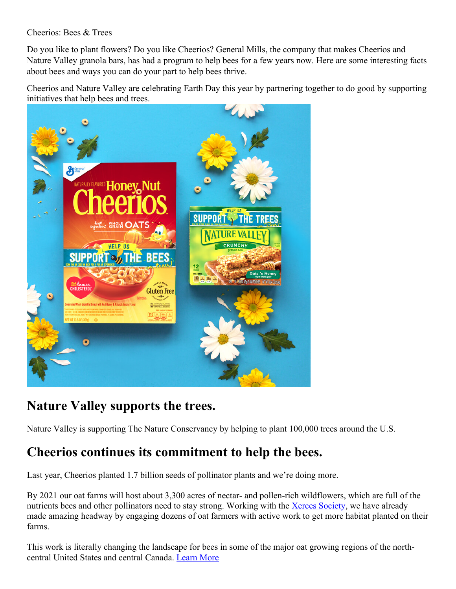## Cheerios: Bees & Trees

Do you like to plant flowers? Do you like Cheerios? General Mills, the company that makes Cheerios and Nature Valley granola bars, has had a program to help bees for a few years now. Here are some interesting facts about bees and ways you can do your part to help bees thrive.

Cheerios and Nature Valley are celebrating Earth Day this year by partnering together to do good by supporting initiatives that help bees and trees.



## **Nature Valley supports the trees.**

Nature Valley is supporting The Nature Conservancy by helping to plant 100,000 trees around the U.S.

# **Cheerios continues its commitment to help the bees.**

Last year, Cheerios planted 1.7 billion seeds of pollinator plants and we're doing more.

By 2021 our oat farms will host about 3,300 acres of nectar- and pollen-rich wildflowers, which are full of the nutrients bees and other pollinators need to stay strong. Working with the Xerces Society, we have already made amazing headway by engaging dozens of oat farmers with active work to get more habitat planted on their farms.

This work is literally changing the landscape for bees in some of the major oat growing regions of the northcentral United States and central Canada. Learn More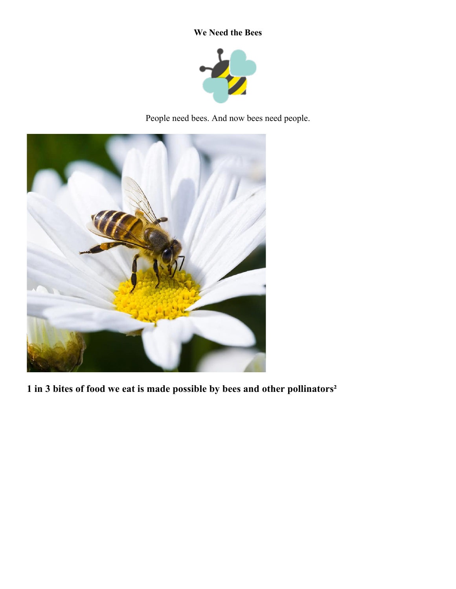## **We Need the Bees**



People need bees. And now bees need people.



**1 in 3 bites of food we eat is made possible by bees and other pollinators²**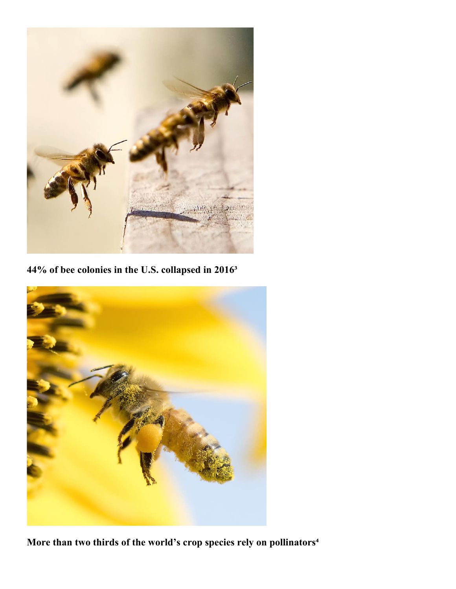

**44% of bee colonies in the U.S. collapsed in 2016³**



More than two thirds of the world's crop species rely on pollinators<sup>4</sup>